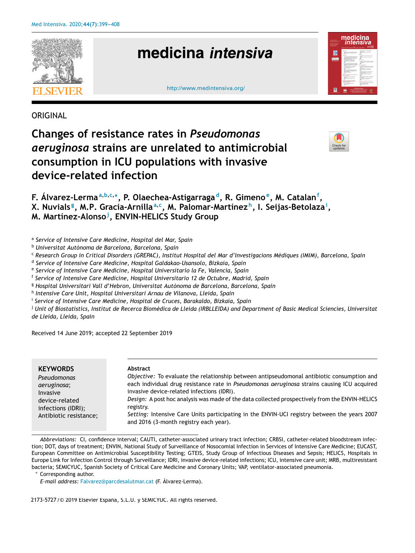

**ORIGINAL** 

# **Changes of resistance rates in** *Pseudomonas aeruginosa* **strains are unrelated to antimicrobial consumption in ICU populations with invasive device-related infection**



**F. Álvarez-Lerma<sup>a</sup>**,**b**,**c**,<sup>∗</sup> **, P. Olaechea-Astigarraga <sup>d</sup> , R. Gimeno <sup>e</sup> , M. Catalan<sup>f</sup> ,**

**X. Nuvials <sup>g</sup> , M.P. Gracia-Arnilla<sup>a</sup>**,**<sup>c</sup> , M. Palomar-Martínez <sup>h</sup> , I. Seijas-Betolaza<sup>i</sup> ,**

**M. Martínez-Alonso<sup>j</sup> , ENVIN-HELICS Study Group**

a *Service of Intensive Care Medicine, Hospital del Mar, Spain*

- <sup>b</sup> *Universitat Autònoma de Barcelona, Barcelona, Spain*
- <sup>c</sup> Research Group in Critical Disorders (GREPAC), Institut Hospital del Mar d'Investigacions Mèdiques (IMIM), Barcelona, Spain
- d *Service of Intensive Care Medicine, Hospital Galdakao-Usansolo, Bizkaia, Spain*

e *Service of Intensive Care Medicine, Hospital Universitario la Fe, Valencia, Spain*

f *Service of Intensive Care Medicine, Hospital Universitario 12 de Octubre, Madrid, Spain*

- <sup>g</sup> *Hospital Universitari Vall d'Hebron, Universitat Autònoma de Barcelona, Barcelona, Spain*
- h *Intensive Care Unit, Hospital Universitari Arnau de Vilanova, Lleida, Spain*

i *Service of Intensive Care Medicine, Hospital de Cruces, Barakaldo, Bizkaia, Spain*

<sup>j</sup> Unit of Biostatistics, Institut de Recerca Biomèdica de Lleida (IRBLLEIDA) and Department of Basic Medical Sciencies, Universitat *de Lleida, Lleida, Spain*

Received 14 June 2019; accepted 22 September 2019

| <b>KEYWORDS</b>        | Abstract                                                                                                                               |
|------------------------|----------------------------------------------------------------------------------------------------------------------------------------|
| Pseudomonas            | <i>Objective:</i> To evaluate the relationship between antipseudomonal antibiotic consumption and                                      |
| aeruginosa;            | each individual drug resistance rate in Pseudomonas aeruginosa strains causing ICU acquired                                            |
| Invasive               | invasive device-related infections (IDRI).                                                                                             |
| device-related         | Design: A post hoc analysis was made of the data collected prospectively from the ENVIN-HELICS                                         |
| infections (IDRI);     | registry.                                                                                                                              |
| Antibiotic resistance; | Setting: Intensive Care Units participating in the ENVIN-UCI registry between the years 2007<br>and 2016 (3-month registry each year). |

*Abbreviations:* CI, confidence interval; CAUTI, catheter-associated urinary tract infection; CRBSI, catheter-related bloodstream infection; DOT, days of treatment; ENVIN, National Study of Surveillance of Nosocomial Infection in Services of Intensive Care Medicine; EUCAST, European Committee on Antimicrobial Susceptibility Testing; GTEIS, Study Group of Infectious Diseases and Sepsis; HELICS, Hospitals in Europe Link for Infection Control through Surveillance; IDRI, invasive device-related infections; ICU, intensive care unit; MRB, multiresistant bacteria; SEMICYUC, Spanish Society of Critical Care Medicine and Coronary Units; VAP, ventilator-associated pneumonia.

<sup>∗</sup> Corresponding author.

*E-mail address:* Falvarez@parcdesalutmar.cat (F. Álvarez-Lerma).

2173-5727 / © 2019 Elsevier España, S.L.U. y SEMICYUC. All rights reserved.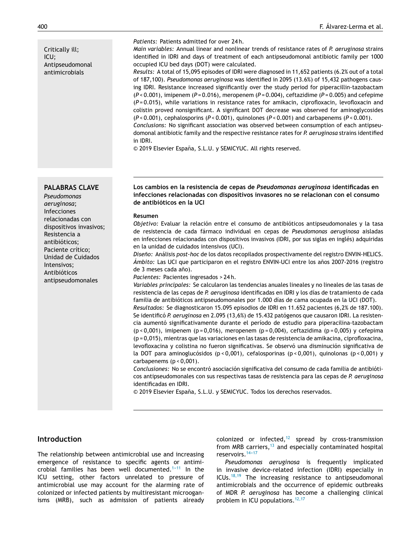Critically ill; ICU; Antipseudomonal antimicrobials

#### *Patients:* Patients admitted for over 24 h.

*Main variables:* Annual linear and nonlinear trends of resistance rates of *P. aeruginosa* strains identified in IDRI and days of treatment of each antipseudomonal antibiotic family per 1000 occupied ICU bed days (DOT) were calculated.

*Results:* A total of 15,095 episodes of IDRI were diagnosed in 11,652 patients (6.2% out of a total of 187,100). *Pseudomonas aeruginosa* was identified in 2095 (13.6%) of 15,432 pathogens causing IDRI. Resistance increased significantly over the study period for piperacillin-tazobactam (*P* < 0.001), imipenem (*P* = 0.016), meropenem (*P* = 0.004), ceftazidime (*P* = 0.005) and cefepime (*P* = 0.015), while variations in resistance rates for amikacin, ciprofloxacin, levofloxacin and colistin proved nonsignificant. A significant DOT decrease was observed for aminoglycosides (*P* < 0.001), cephalosporins (*P* < 0.001), quinolones (*P* < 0.001) and carbapenems (*P* < 0.001).

*Conclusions:* No significant association was observed between consumption of each antipseudomonal antibiotic family and the respective resistance rates for *P. aeruginosa* strains identified in IDRI.

© 2019 Elsevier España, S.L.U. y SEMICYUC. All rights reserved.

#### **PALABRAS CLAVE Los cambios en la resistencia de cepas de** *Pseudomonas aeruginosa* **identificadas en infecciones relacionadas con dispositivos invasores no se relacionan con el consumo de antibióticos en la UCI**

#### **Resumen**

*Objetivo:* Evaluar la relación entre el consumo de antibióticos antipseudomonales y la tasa de resistencia de cada fármaco individual en cepas de *Pseudomonas aeruginosa* aisladas en infecciones relacionadas con dispositivos invasivos (IDRI, por sus siglas en inglés) adquiridas en la unidad de cuidados intensivos (UCI).

*Diseno: ˜* Análisis *post-hoc* de los datos recopilados prospectivamente del registro ENVIN-HELICS. *Ámbito:* Las UCI que participaron en el registro ENVIN-UCI entre los años 2007-2016 (registro de 3 meses cada año).

*Pacientes:* Pacientes ingresados > 24 h.

*Variables principales:* Se calcularon las tendencias anuales lineales y no lineales de las tasas de resistencia de las cepas de *P. aeruginosa* identificadas en IDRI y los días de tratamiento de cada familia de antibióticos antipseudomonales por 1.000 días de cama ocupada en la UCI (DOT). *Resultados:* Se diagnosticaron 15.095 episodios de IDRI en 11.652 pacientes (6,2% de 187.100).

Se identificó *P. aeruginosa* en 2.095 (13,6%) de 15.432 patógenos que causaron IDRI. La resistencia aumentó significativamente durante el período de estudio para piperacilina-tazobactam  $(p < 0,001)$ , imipenem (p = 0,016), meropenem (p = 0,004), ceftazidima (p = 0,005) y cefepima (p = 0,015), mientras que las variaciones en las tasas de resistencia de amikacina, ciprofloxacina, levofloxacina y colistina no fueron significativas. Se observó una disminución significativa de la DOT para aminoglucósidos (p < 0,001), cefalosporinas (p < 0,001), quinolonas (p < 0,001) y carbapenems  $(p < 0,001)$ .

*Conclusiones:* No se encontró asociación significativa del consumo de cada familia de antibióticos antipseudomonales con sus respectivas tasas de resistencia para las cepas de *P. aeruginosa* identificadas en IDRI.

© 2019 Elsevier España, S.L.U. y SEMICYUC. Todos los derechos reservados.

# **Introduction**

The relationship between antimicrobial use and increasing emergence of resistance to specific agents or antimicrobial families has been well documented.<sup>1-11</sup> In the ICU setting, other factors unrelated to pressure of antimicrobial use may account for the alarming rate of colonized or infected patients by multiresistant microoganisms (MRB), such as admission of patients already

colonized or infected, $12$  spread by cross-transmission from MRB carriers,<sup>13</sup> and especially contaminated hospital reservoirs.<sup>14-17</sup>

*Pseudomonas aeruginosa* is frequently implicated in invasive device-related infection (IDRI) especially in ICUs. $18,19$  The increasing resistance to antipseudomonal antimicrobials and the occurrence of epidemic outbreaks of MDR *P. aeruginosa* has become a challenging clinical problem in ICU populations.<sup>12,17</sup>

*Pseudomonas aeruginosa*; Infecciones relacionadas con dispositivos invasivos; Resistencia a antibióticos; Paciente crítico; Unidad de Cuidados Intensivos; Antibióticos antipseudomonales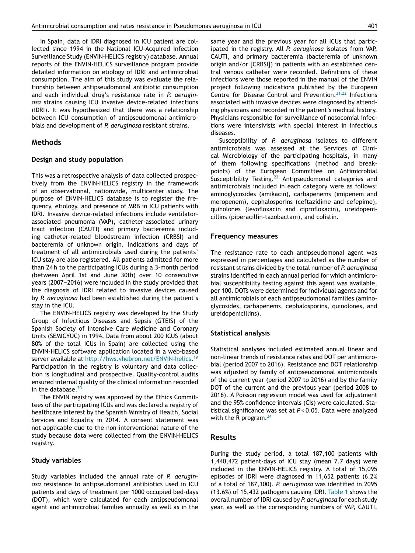In Spain, data of IDRI diagnosed in ICU patient are collected since 1994 in the National ICU-Acquired Infection Surveillance Study (ENVIN-HELICS registry) database. Annual reports of the ENVIN-HELICS surveillance program provide detailed information on etiology of IDRI and antimicrobial consumption. The aim of this study was evaluate the relationship between antipseudomonal antibiotic consumption and each individual drug's resistance rate in *P. aeruginosa* strains causing ICU invasive device-related infections (IDRI). It was hypothesized that there was a relationship between ICU consumption of antipseudomonal antimicrobials and development of *P. aeruginosa* resistant strains.

# **Methods**

#### **Design and study population**

This was a retrospective analysis of data collected prospectively from the ENVIN-HELICS registry in the framework of an observational, nationwide, multicenter study. The purpose of ENVIN-HELICS database is to register the frequency, etiology, and presence of MRB in ICU patients with IDRI. Invasive device-related infections include ventilatorassociated pneumonia (VAP), catheter-associated urinary tract infection (CAUTI) and primary bacteremia including catheter-related bloodstream infection (CRBSI) and bacteremia of unknown origin. Indications and days of treatment of all antimicrobials used during the patients' ICU stay are also registered. All patients admitted for more than 24 h to the participating ICUs during a 3-month period (between April 1st and June 30th) over 10 consecutive years (2007-2016) were included in the study provided that the diagnosis of IDRI related to invasive devices caused by *P. aeruginosa* had been established during the patient's stay in the ICU.

The ENVIN-HELICS registry was developed by the Study Group of Infectious Diseases and Sepsis (GTEIS) of the Spanish Society of Intensive Care Medicine and Coronary Units (SEMICYUC) in 1994. Data from about 200 ICUS (about 80% of the total ICUs in Spain) are collected using the ENVIN-HELICS software application located in a web-based server available at http://hws.vhebron.net/ENVIN-helics.<sup>19</sup> Participation in the registry is voluntary and data collection is longitudinal and prospective. Quality-control audits ensured internal quality of the clinical information recorded in the database. $20$ 

The ENVIN registry was approved by the Ethics Committees of the participating ICUs and was declared a registry of healthcare interest by the Spanish Ministry of Health, Social Services and Equality in 2014. A consent statement was not applicable due to the non-interventional nature of the study because data were collected from the ENVIN-HELICS registry.

#### **Study variables**

Study variables included the annual rate of *P. aeruginosa* resistance to antipseudomonal antibiotics used in ICU patients and days of treatment per 1000 occupied bed-days (DOT), which were calculated for each antipseudomonal agent and antimicrobial families annually as well as in the same year and the previous year for all ICUs that participated in the registry. All *P. aeruginosa* isolates from VAP, CAUTI, and primary bacteremia (bacteremia of unknown origin and/or [CRBSI]) in patients with an established central venous catheter were recorded. Definitions of these infections were those reported in the manual of the ENVIN project following indications published by the European Centre for Disease Control and Prevention.<sup>21,22</sup> Infections associated with invasive devices were diagnosed by attending physicians and recorded in the patient's medical history. Physicians responsible for surveillance of nosocomial infections were intensivists with special interest in infectious diseases.

Susceptibility of *P. aeruginosa* isolates to different antimicrobials was assessed at the Services of Clinical Microbiology of the participating hospitals, in many of them following specifications (method and breakpoints) of the European Committee on Antimicrobial Susceptibility Testing.<sup>23</sup> Antipseudomonal categories and antimicrobials included in each category were as follows: aminoglycosides (amikacin), carbapenems (imipenem and meropenem), cephalosporins (ceftazidime and cefepime), quinolones (levofloxacin and ciprofloxacin), ureidopenicillins (piperacillin-tazobactam), and colistin.

#### **Frequency measures**

The resistance rate to each antipseudomonal agent was expressed in percentages and calculated as the number of resistant strains divided by the total number of *P. aeruginosa* strains identified in each annual period for which antimicrobial susceptibility testing against this agent was available, per 100. DOTs were determined for individual agents and for all antimicrobials of each antipseudomonal families (aminoglycosides, carbapenems, cephalosporins, quinolones, and ureidopenicillins).

#### **Statistical analysis**

Statistical analyses included estimated annual linear and non-linear trends of resistance rates and DOT per antimicrobial (period 2007 to 2016). Resistance and DOT relationship was adjusted by family of antipseudomonal antimicrobials of the current year (period 2007 to 2016) and by the family DOT of the current and the previous year (period 2008 to 2016). A Poisson regression model was used for adjustment and the 95% confidence intervals (CIs) were calculated. Statistical significance was set at *P* < 0.05. Data were analyzed with the R program. $^{24}$ 

### **Results**

During the study period, a total 187,100 patients with 1,440,472 patient-days of ICU stay (mean 7.7 days) were included in the ENVIN-HELICS registry. A total of 15,095 episodes of IDRI were diagnosed in 11,652 patients (6.2% of a total of 187,100). *P. aeruginosa* was identified in 2095 (13.6%) of 15,432 pathogens causing IDRI. Table 1 shows the overall number of IDRI caused by *P. aeruginosa* for each study year, as well as the corresponding numbers of VAP, CAUTI,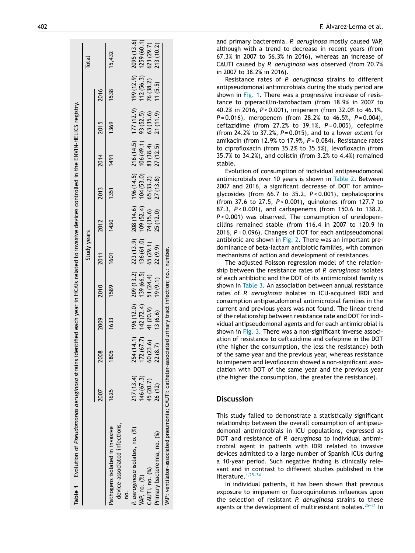| Table 1 Evolution of Pseudomonas aeruginosa strains identified each year in HCAIs related to invasive devices controlled in the ENVIN-HELICS registry. |           |      |                               |      |             |                                                                                                                                                                                                                                 |                       |                       |           |         | <b>Total</b>                                      |
|--------------------------------------------------------------------------------------------------------------------------------------------------------|-----------|------|-------------------------------|------|-------------|---------------------------------------------------------------------------------------------------------------------------------------------------------------------------------------------------------------------------------|-----------------------|-----------------------|-----------|---------|---------------------------------------------------|
|                                                                                                                                                        |           |      |                               |      | Study years |                                                                                                                                                                                                                                 |                       |                       |           |         |                                                   |
|                                                                                                                                                        |           | 2008 | 2009                          | 2010 | 2011        | 2012                                                                                                                                                                                                                            | 2013                  | 2014                  | 2015      | 2016    |                                                   |
| device-associated infections,<br>Pathogens isolated in invasive                                                                                        | 1625      | 1805 | 1633                          | 1589 | 1601        | 1430                                                                                                                                                                                                                            | 1351                  | 1491                  | 1369      | 1538    | 15,432                                            |
| ₽.                                                                                                                                                     |           |      |                               |      |             |                                                                                                                                                                                                                                 |                       |                       |           |         |                                                   |
| P. aeruginosa isolates, no. (%)                                                                                                                        | 217(13.4) |      |                               |      |             |                                                                                                                                                                                                                                 |                       |                       |           |         |                                                   |
| VAP, no. (%)                                                                                                                                           | 146(67.3) |      |                               |      |             | 254 (14.1) 196 (12.0) 209 (13.2) 223 (13.9) 208 (14.6) 196 (14.5) 216 (14.5) 177 (12.9) 199 (12.9) 2095 (13.6)<br>172 (67.7) 142 (72.4) 139 (66.5) 136 (61.0) 109 (52.4) 104 (53.0) 106 (49.1) 93 (52.5) 112 (56.3) 1259 (60.1) |                       |                       |           |         |                                                   |
| CAUTI, no. (%)                                                                                                                                         | 45 (20.7) |      |                               |      |             | $60(23.6)$ $41(20.9)$ $51(24.4)$ $65(29.1)$ $74(35.6)$ $65(33.2)$ $83(38.4)$                                                                                                                                                    |                       |                       | 63 (35.6) |         | $112(56.3)$ $1259(60.1)$<br>76 (38.2) $623(29.7)$ |
| Primary bacteremia, no. (%)                                                                                                                            | 26 (12)   |      | $22(8.7)$ $13(6.6)$ $19(9.1)$ |      | 22(9.9)     |                                                                                                                                                                                                                                 | $25(12.0)$ $27(13.8)$ | $27(12.5)$ $21(11.9)$ |           | 11(5.5) | 213 (10.2)                                        |
| VAP: ventilator-associated pneumonia; CAUTI: catheter-associated urinary tract infection; no.: number.                                                 |           |      |                               |      |             |                                                                                                                                                                                                                                 |                       |                       |           |         |                                                   |
|                                                                                                                                                        |           |      |                               |      |             |                                                                                                                                                                                                                                 |                       |                       |           |         |                                                   |

and primary bacteremia. *P. aeruginosa* mostly caused VAP, although with a trend to decrease in recent years (from 67.3% in 2007 to 56.3% in 2016), whereas an increase of CAUTI caused by *P. aeruginosa* was observed (from 20.7% in 2007 to 38.2% in 2016).

Resistance rates of *P. aeruginosa* strains to different antipseudomonal antimicrobials during the study period are shown in Fig. 1. There was a progressive increase of resistance to piperacillin-tazobactam (from 18.9% in 2007 to 40.2% in 2016, *P* < 0.001), imipenem (from 32.0% to 46.1%, *P* = 0.016), meropenem (from 28.2% to 46.5%, *P* = 0.004), ceftazidime (from 27.2% to 39.1%, *P* = 0.005), cefepime (from 24.2% to 37.2%, *P* = 0.015), and to a lower extent for amikacin (from 12.9% to 17.9%, *P* = 0.084). Resistance rates to ciprofloxacin (from 35.2% to 35.5%), levofloxacin (from 35.7% to 34.2%), and colistin (from 3.2% to 4.4%) remained stable.

Evolution of consumption of individual antipseudomonal antimicrobials over 10 years is shown in Table 2. Between 2007 and 2016, a significant decrease of DOT for aminoglycosides (from 66.7 to 35.2, *P* < 0.001), cephalosporins (from 37.6 to 27.5, *P* < 0.001), quinolones (from 127.7 to 87.3, *P* < 0.001), and carbapenems (from 150.6 to 138.2, *P* < 0.001) was observed. The consumption of ureidopenicillins remained stable (from 116.4 in 2007 to 120.9 in 2016, *P* = 0.096). Changes of DOT for each antipseudomonal antibiotic are shown in Fig. 2 . There was an important predominance of beta-lactam antibiotic families, with common mechanisms of action and development of resistances.

The adjusted Poisson regression model of the relationship between the resistance rates of *P. aeruginosa* isolates of each antibiotic and the DOT of its antimicrobial family is shown in Table 3. An association between annual resistance rates of *P. aeruginosa* isolates in ICU-acquired IRDI and consumption antipseudomonal antimicrobial families in the current and previous years was not found. The linear trend of the relationship between resistance rate and DOT for individual antipseudomonal agents and for each antimicrobial is shown in Fig. 3. There was a non-significant inverse association of resistance to ceftazidime and cefepime in the DOT (the higher the consumption, the less the resistance) both of the same year and the previous year, whereas resistance to imipenem and levofloxacin showed a non-significant association with DOT of the same year and the previous year (the higher the consumption, the greater the resistance).

# **Discussion**

This study failed to demonstrate a statistically significant relationship between the overall consumption of antipseudomonal antimicrobials in ICU populations, expressed as DOT and resistance of *P. aeruginosa* to individual antimicrobial agent in patients with IDRI related to invasive devices admitted to a large number of Spanish ICUs during a 10-year period. Such negative finding is clinically relevant and in contrast to different studies published in the literature. $1,25-34$ 

In individual patients, it has been shown that previous exposure to imipenem or fluoroquinolones influences upon the selection of resistant *P. aeruginosa* strains to these agents or the development of multiresistant isolates. $25-31$  In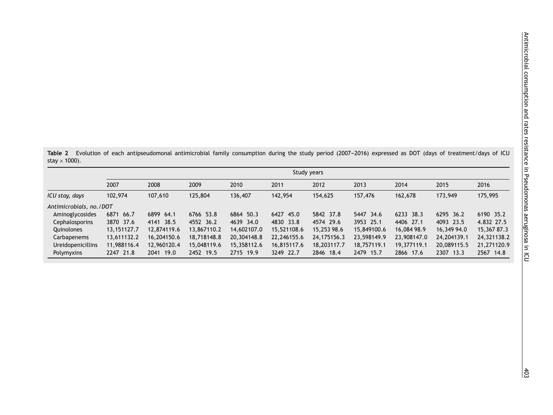Table 2 Evolution of each antipseudomonal antimicrobial family consumption during the study period (2007-2016) expressed as DOT (days of treatment/days of ICU stay  $\times$  1000).

|                          | Study years  |              |             |             |             |             |             |             |             |             |
|--------------------------|--------------|--------------|-------------|-------------|-------------|-------------|-------------|-------------|-------------|-------------|
|                          | 2007         | 2008         | 2009        | 2010        | 2011        | 2012        | 2013        | 2014        | 2015        | 2016        |
| ICU stay, days           | 102,974      | 107,610      | 125,804     | 136,407     | 142,954     | 154,625     | 157,476     | 162,678     | 173,949     | 175,995     |
| Antimicrobials, no./DOT  |              |              |             |             |             |             |             |             |             |             |
| Aminoglycosides          | 6871<br>66.7 | 6899 64.1    | 6766 53.8   | 6864 50.3   | 6427 45.0   | 5842 37.8   | 5447 34.6   | 6233 38.3   | 6295 36.2   | 6190 35.2   |
| <b>Cephalosporins</b>    | 3870 37.6    | 4141 38.5    | 4552 36.2   | 4639 34.0   | 4830 33.8   | 4574 29.6   | 3953 25.1   | 4406 27.1   | 4093 23.5   | 4.832 27.5  |
| Quinolones               | 13.151127.7  | 12.874119.6  | 13,867110.2 | 14,602107.0 | 15,521108.6 | 15,253 98.6 | 15,849100.6 | 16,084 98.9 | 16,349 94.0 | 15,367 87.3 |
| Carbapenems              | 13,611132.2  | 16,204150.6  | 18,718148.8 | 20,304148.8 | 22,246155.6 | 24,175156.3 | 23,598149.9 | 23,908147.0 | 24.204139.1 | 24,321138.2 |
| <b>Ureidopenicillins</b> | 11,988116.4  | 12,960120.4  | 15,048119.6 | 15,358112.6 | 16,815117.6 | 18,203117.7 | 18,757119.1 | 19,377119.1 | 20,089115.5 | 21,271120.9 |
| Polymyxins               | 2247 21.8    | 19.0<br>2041 | 2452 19.5   | 2715 19.9   | 3249 22.7   | 2846 18.4   | 2479 15.7   | 2866 17.6   | 2307 13.3   | 2567 14.8   |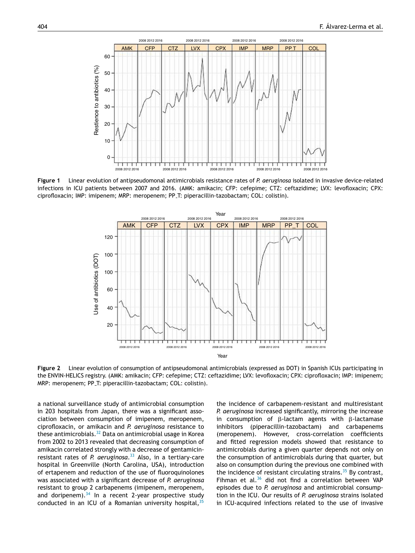

**Figure 1** Linear evolution of antipseudomonal antimicrobials resistance rates of *P. aeruginosa* isolated in invasive device-related infections in ICU patients between 2007 and 2016. (AMK: amikacin; CFP: cefepime; CTZ: ceftazidime; LVX: levofloxacin; CPX: ciprofloxacin; IMP: imipenem; MRP: meropenem; PP T: piperacillin-tazobactam; COL: colistin).



**Figure 2** Linear evolution of consumption of antipseudomonal antimicrobials (expressed as DOT) in Spanish ICUs participating in the ENVIN-HELICS registry. (AMK: amikacin; CFP: cefepime; CTZ: ceftazidime; LVX: levofloxacin; CPX: ciprofloxacin; IMP: imipenem; MRP: meropenem; PP T: piperacillin-tazobactam; COL: colistin).

a national surveillance study of antimicrobial consumption in 203 hospitals from Japan, there was a significant association between consumption of imipenem, meropenem, ciprofloxacin, or amikacin and *P. aeruginosa* resistance to these antimicrobials.<sup>32</sup> Data on antimicrobial usage in Korea from 2002 to 2013 revealed that decreasing consumption of amikacin correlated strongly with a decrease of gentamicinresistant rates of *P. aeruginosa*. <sup>33</sup> Also, in a tertiary-care hospital in Greenville (North Carolina, USA), introduction of ertapenem and reduction of the use of fluoroquinolones was associated with a significant decrease of *P. aeruginosa* resistant to group 2 carbapenems (imipenem, meropenem, and doripenem). $34$  In a recent 2-year prospective study conducted in an ICU of a Romanian university hospital,  $35$ 

the incidence of carbapenem-resistant and multiresistant *P. aeruginosa* increased significantly, mirroring the increase in consumption of  $\beta$ -lactam agents with  $\beta$ -lactamase inhibitors (piperacillin-tazobactam) and carbapenems (meropenem). However, cross-correlation coefficients and fitted regression models showed that resistance to antimicrobials during a given quarter depends not only on the consumption of antimicrobials during that quarter, but also on consumption during the previous one combined with the incidence of resistant circulating strains. $35$  By contrast, Fihman et al.<sup>36</sup> did not find a correlation between VAP episodes due to *P. aeruginosa* and antimicrobial consumption in the ICU. Our results of *P. aeruginosa* strains isolated in ICU-acquired infections related to the use of invasive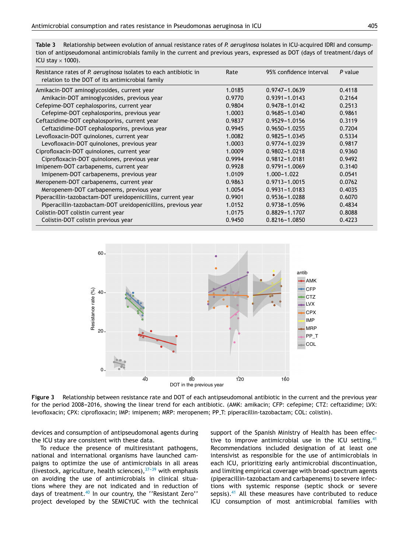**Table 3** Relationship between evolution of annual resistance rates of *P. aeruginosa* isolates in ICU-acquired IDRI and consumption of antipseudomonal antimicrobials family in the current and previous years, expressed as DOT (days of treatment/days of ICU stay  $\times$  1000).

| Resistance rates of P. aeruginosa isolates to each antibiotic in<br>relation to the DOT of its antimicrobial family | Rate   | 95% confidence interval | P value |
|---------------------------------------------------------------------------------------------------------------------|--------|-------------------------|---------|
| Amikacin-DOT aminoglycosides, current year                                                                          | 1.0185 | $0.9747 - 1.0639$       | 0.4118  |
| Amikacin-DOT aminoglycosides, previous year                                                                         | 0.9770 | $0.9391 - 1.0143$       | 0.2164  |
| Cefepime-DOT cephalosporins, current year                                                                           | 0.9804 | 0.9478-1.0142           | 0.2513  |
| Cefepime-DOT cephalosporins, previous year                                                                          | 1.0003 | $0.9685 - 1.0340$       | 0.9861  |
| Ceftazidime-DOT cephalosporins, current year                                                                        | 0.9837 | $0.9529 - 1.0156$       | 0.3119  |
| Ceftazidime-DOT cephalosporins, previous year                                                                       | 0.9945 | $0.9650 - 1.0255$       | 0.7204  |
| Levofloxacin-DOT quinolones, current year                                                                           | 1.0082 | 0.9825-1.0345           | 0.5334  |
| Levofloxacin-DOT quinolones, previous year                                                                          | 1.0003 | $0.9774 - 1.0239$       | 0.9817  |
| Ciprofloxacin-DOT quinolones, current year                                                                          | 1.0009 | $0.9802 - 1.0218$       | 0.9360  |
| Ciprofloxacin-DOT quinolones, previous year                                                                         | 0.9994 | $0.9812 - 1.0181$       | 0.9492  |
| Imipenem-DOT carbapenems, current year                                                                              | 0.9928 | $0.9791 - 1.0069$       | 0.3140  |
| Imipenem-DOT carbapenems, previous year                                                                             | 1.0109 | $1.000 - 1.022$         | 0.0541  |
| Meropenem-DOT carbapenems, current year                                                                             | 0.9863 | $0.9713 - 1.0015$       | 0.0762  |
| Meropenem-DOT carbapenems, previous year                                                                            | 1.0054 | $0.9931 - 1.0183$       | 0.4035  |
| Piperacillin-tazobactam-DOT ureidopenicillins, current year                                                         | 0.9901 | 0.9536-1.0288           | 0.6070  |
| Piperacillin-tazobactam-DOT ureidopenicillins, previous year                                                        | 1.0152 | 0.9738-1.0596           | 0.4834  |
| Colistin-DOT colistin current year                                                                                  | 1.0175 | $0.8829 - 1.1707$       | 0.8088  |
| Colistin-DOT colistin previous year                                                                                 | 0.9450 | 0.8216-1.0850           | 0.4223  |



**Figure 3** Relationship between resistance rate and DOT of each antipseudomonal antibiotic in the current and the previous year for the period 2008-2016, showing the linear trend for each antibiotic. (AMK: amikacin; CFP: cefepime; CTZ: ceftazidime; LVX: levofloxacin; CPX: ciprofloxacin; IMP: imipenem; MRP: meropenem; PP T: piperacillin-tazobactam; COL: colistin).

devices and consumption of antipseudomonal agents during the ICU stay are consistent with these data.

To reduce the presence of multiresistant pathogens, national and international organisms have launched campaigns to optimize the use of antimicrobials in all areas (livestock, agriculture, health sciences),  $37-39$  with emphasis on avoiding the use of antimicrobials in clinical situations where they are not indicated and in reduction of days of treatment.<sup>40</sup> In our country, the "Resistant Zero" project developed by the SEMICYUC with the technical support of the Spanish Ministry of Health has been effective to improve antimicrobial use in the ICU setting.<sup>41</sup> Recommendations included designation of at least one intensivist as responsible for the use of antimicrobials in each ICU, prioritizing early antimicrobial discontinuation, and limiting empirical coverage with broad-spectrum agents (piperacillin-tazobactam and carbapenems) to severe infections with systemic response (septic shock or severe sepsis). $41$  All these measures have contributed to reduce ICU consumption of most antimicrobial families with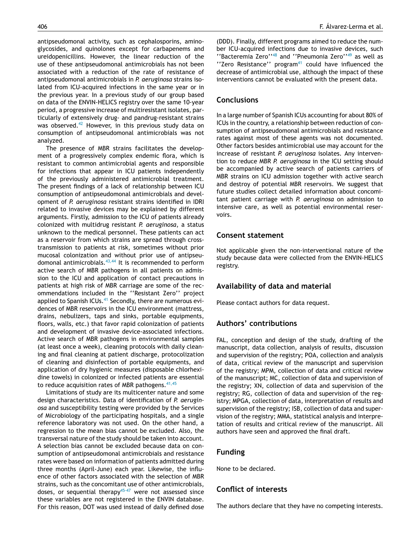antipseudomonal activity, such as cephalosporins, aminoglycosides, and quinolones except for carbapenems and ureidopenicillins. However, the linear reduction of the use of these antipseudomonal antimicrobials has not been associated with a reduction of the rate of resistance of antipseudomonal antimicrobials in *P. aeruginosa* strains isolated from ICU-acquired infections in the same year or in the previous year. In a previous study of our group based on data of the ENVIN-HELICS registry over the same 10-year period, a progressive increase of multiresistant isolates, particularly of extensively drug- and pandrug-resistant strains was observed.<sup>42</sup> However, in this previous study data on consumption of antipseudomonal antimicrobials was not analyzed.

The presence of MBR strains facilitates the development of a progressively complex endemic flora, which is resistant to common antimicrobial agents and responsible for infections that appear in ICU patients independently of the previously administered antimicrobial treatment. The present findings of a lack of relationship between ICU consumption of antipseudomonal antimicrobials and development of *P. aeruginosa* resistant strains identified in IDRI related to invasive devices may be explained by different arguments. Firstly, admission to the ICU of patients already colonized with multidrug resistant *P. aeruginosa*, a status unknown to the medical personnel. These patients can act as a reservoir from which strains are spread through crosstransmission to patients at risk, sometimes without prior mucosal colonization and without prior use of antipseudomonal antimicrobials. $43,44$  It is recommended to perform active search of MBR pathogens in all patients on admission to the ICU and application of contact precautions in patients at high risk of MBR carriage are some of the recommendations included in the ''Resistant Zero'' project applied to Spanish ICUs.<sup>41</sup> Secondly, there are numerous evidences of MBR reservoirs in the ICU environment (mattress, drains, nebulizers, taps and sinks, portable equipments, floors, walls, etc.) that favor rapid colonization of patients and development of invasive device-associated infections. Active search of MBR pathogens in environmental samples (at least once a week), cleaning protocols with daily cleaning and final cleaning at patient discharge, protocolization of cleaning and disinfection of portable equipments, and application of dry hygienic measures (disposable chlorhexidine towels) in colonized or infected patients are essential to reduce acquisition rates of MBR pathogens.  $41,45$ 

Limitations of study are its multicenter nature and some design characteristics. Data of identification of *P. aeruginosa* and susceptibility testing were provided by the Services of Microbiology of the participating hospitals, and a single reference laboratory was not used. On the other hand, a regression to the mean bias cannot be excluded. Also, the transversal nature of the study should be taken into account. A selection bias cannot be excluded because data on consumption of antipseudomonal antimicrobials and resistance rates were based on information of patients admitted during three months (April-June) each year. Likewise, the influence of other factors associated with the selection of MBR strains, such as the concomitant use of other antimicrobials, doses, or sequential therapy<sup>45-47</sup> were not assessed since these variables are not registered in the ENVIN database. For this reason, DOT was used instead of daily defined dose (DDD). Finally, different programs aimed to reduce the number ICU-acquired infections due to invasive devices, such ''Bacteremia Zero''<sup>48</sup> and ''Pneumonia Zero''<sup>49</sup> as well as  $'$ 'Zero Resistance'' program<sup>41</sup> could have influenced the decrease of antimicrobial use, although the impact of these interventions cannot be evaluated with the present data.

# **Conclusions**

In a large number of Spanish ICUs accounting for about 80% of ICUs in the country, a relationship between reduction of consumption of antipseudomonal antimicrobials and resistance rates against most of these agents was not documented. Other factors besides antimicrobial use may account for the increase of resistant *P. aeruginosa* isolates. Any intervention to reduce MBR *P. aeruginosa* in the ICU setting should be accompanied by active search of patients carriers of MBR strains on ICU admission together with active search and destroy of potential MBR reservoirs. We suggest that future studies collect detailed information about concomitant patient carriage with *P. aeruginosa* on admission to intensive care, as well as potential environmental reservoirs.

### **Consent statement**

Not applicable given the non-interventional nature of the study because data were collected from the ENVIN-HELICS registry.

# **Availability of data and material**

Please contact authors for data request.

## **Authors' contributions**

FAL, conception and design of the study, drafting of the manuscript, data collection, analysis of results, discussion and supervision of the registry; POA, collection and analysis of data, critical review of the manuscript and supervision of the registry; MPM, collection of data and critical review of the manuscript; MC, collection of data and supervision of the registry; XN, collection of data and supervision of the registry; RG, collection of data and supervision of the registry; MPGA, collection of data, interpretation of results and supervision of the registry; ISB, collection of data and supervision of the registry; MMA, statistical analysis and interpretation of results and critical review of the manuscript. All authors have seen and approved the final draft.

### **Funding**

None to be declared.

# **Conflict of interests**

The authors declare that they have no competing interests.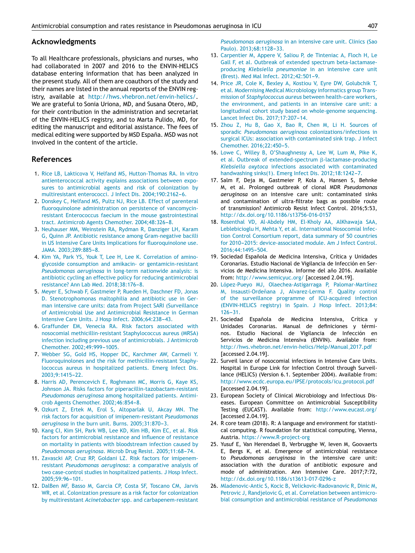#### **Acknowledgments**

To all Healthcare professionals, physicians and nurses, who had collaborated in 2007 and 2016 to the ENVIN-HELICS database entering information that has been analyzed in the present study. All of them are coauthors of the study and their names are listed in the annual reports of the ENVIN registry, available at http://hws.vhebron.net/envin-helics/. We are grateful to Sonia Uriona, MD, and Susana Otero, MD, for their contribution in the administration and secretariat of the ENVIN-HELICS registry, and to Marta Pulido, MD, for editing the manuscript and editorial assistance. The fees of medical editing were supported by MSD España. MSD was not involved in the content of the article.

# **References**

- 1. Rice LB, Lakticova V, Helfand MS, Hutton-Thomas RA. In vitro antienterococcal activity explains associations between exposures to antimicrobial agents and risk of colonization by multiresistant enterococci. J Infect Dis. 2004;190:2162-6.
- 2. Donskey C, Helfand MS, Pultz NJ, Rice LB. Effect of parenteral fluoroquinolone administration on persistence of vancomycinresistant Enterococcus faecium in the mouse gastrointestinal tract. Antimicrob Agents Chemother. 2004;48:326-8.
- 3. Neuhauser MM, Weinstein RA, Rydman R, Danziger LH, Karam G, Quinn JP. Antibiotic resistance among Gram-negative bacilli in US Intensive Care Units Implications for fluoroquinolone use. JAMA. 2003;289:885-8.
- 4. Kim YA, Park YS, Youk T, Lee H, Lee K. Correlation of aminoglycoside consumption and amikacin- or gentamicin-resistant *Pseudomonas aeruginosa* in long-term nationwide analysis: is antibiotic cycling an effective policy for reducing antimicrobial resistance? Ann Lab Med. 2018;38:176-8.
- 5. Meyer E, Schwab F, Gastmeier P, Rueden H, Daschner FD, Jonas D. Stenotrophomonas maltophilia and antibiotic use in German intensive care units: data from Project SARI (Surveillance of Antimicrobial Use and Antimicrobial Resistance in German Intensive Care Units. J Hosp Infect. 2006;64:238-43.
- 6. Graffunder EM, Venecia RA. Risk factors associated with nosocomial methicillin-resistant Staphylococcus aureus (MRSA) infection including previous use of antimicrobials. J Antimicrob Chemother. 2002;49:999-1005.
- 7. Webber SG, Gold HS, Hopper DC, Karchmer AW, Carmeli Y. Fluoroquinolones and the risk for methicillin-resistant Staphylococcus aureus in hospitalized patients. Emerg Infect Dis. 2003:9:1415-22.
- 8. Harris AD, Perencevich E, Roghmann MC, Morris G, Kaye KS, Johnson JA. Risks factors for piperacillin-tazobactam-resistant *Pseudomonas aeruginosa* among hospitalized patients. Antimicrob Agents Chemother. 2002;46:854-8.
- 9. Ozkurt Z, Ertek M, Erol S, Altoparlak U, Akcay MN. The risk factors for acquisition of imipenem-resistant *Pseudomonas* aeruginosa in the burn unit. Burns. 2005;31:870-3.
- 10. Kang CI, Kim SH, Park WB, Lee KD, Kim HB, Kim EC, et al. Risk factors for antimicrobial resistance and influence of resistance on mortality in patients with bloodstream infection caused by Pseudomonas aeruginosa. Microb Drug Resist. 2005;11:68-74.
- 11. Zavascki AP, Cruz RP, Goldani LZ. Risk factors for imipenemresistant *Pseudomonas aeruginosa*: a comparative analysis of two case-control studies in hospitalized patients. J Hosp Infect. 2005;59:96-101.
- 12. DalBen MF, Basso M, Garcia CP, Costa SF, Toscano CM, Jarvis WR, et al. Colonization pressure as a risk factor for colonization by multiresistant *Acinetobacter* spp. and carbapenem-resistant

*Pseudomonas aeruginosa* in an intensive care unit. Clinics (Sao Paulo). 2013;68:1128-33.

- 13. Carpentier M, Appere V, Saliou P, de Tinteniac A, Floch H, Le Gall F, et al. Outbreak of extended spectrum beta-lactamaseproducing *Klebsiella pneumoniae* in an intensive care unit (Brest). Med Mal Infect. 2012;42:501-9.
- 14. Price JR, Cole K, Bexley A, Kostiou V, Eyre DW, Golubchik T, et al. Modernising Medical Microbiology informatics group Transmission of *Staphylococcus aureus* between health-care workers, the environment, and patients in an intensive care unit: a longitudinal cohort study based on whole-genome sequencing. Lancet Infect Dis. 2017;17:207-14.
- 15. Zhou Z, Hu B, Gao X, Bao R, Chen M, Li H. Sources of sporadic *Pseudomonas aeruginosa* colonizations/infections in surgical ICUs: association with contaminated sink trap. J Infect Chemother. 2016;22:450-5.
- 16. Lowe C, Willey B, O'Shaughnessy A, Lee W, Lum M, Pike K, et al. Outbreak of extended-spectrum  $\beta$ -lactamase-producing *Klebsiella oxytoca* infections associated with contaminated handwashing sinks(1). Emerg Infect Dis. 2012;18:1242-7.
- 17. Salm F, Deja M, Gastmeier P, Kola A, Hansen S, Behnke M, et al. Prolonged outbreak of clonal MDR *Pseudomonas aeruginosa* on an intensive care unit: contaminated sinks and contamination of ultra-filtrate bags as possible route of transmission? Antimicrob Resist Infect Control. 2016;5:53, http://dx.doi.org/10.1186/s13756-016-0157
- 18. Rosenthal VD, Al-Abdely HM, El-Kholy AA, AlKhawaja SAA, Leblebicioglu H, Mehta Y, et al. International Nosocomial Infection Control Consortium report, data summary of 50 countries for 2010-2015: device-associated module. Am J Infect Control. 2016;44:1495-504.
- 19. Sociedad Española de Medicina Intensiva, Crítica y Unidades Coronarias. Estudio Nacional de Vigilancia de Infección en Servicios de Medicina Intensiva. Informe del año 2016. Available from: http://www.semicyuc.org/ [accessed 2.04.19].
- 20. López-Pueyo MJ, Olaechea-Astigarraga P, Palomar-Martínez M, Insausti-Ordeñana J, Alvarez-Lerma F. Quality control of the surveillance programme of ICU-acquired infection (ENVIN-HELICS registry) in Spain. J Hosp Infect. 2013;84:  $126 - 31$ .
- 21. Sociedad Española de Medicina Intensiva, Crítica y Unidades Coronarias. Manual de definiciones y términos. Estudio Nacional de Vigilancia de Infección en Servicios de Medicina Intensiva (ENVIN). Available from: http://hws.vhebron.net/envin-helics/Help/Manual 2017.pdf [accessed 2.04.19].
- 22. Surveil lance of nosocomial infections in Intensive Care Units. Hospital in Europe Link for Infection Control through Surveillance (HELICS) (Version 6.1. September 2004). Available from: http://www.ecdc.europa.eu/IPSE/protocols/icu protocol.pdf [accessed 2.04.19].
- 23. European Society of Clinical Microbiology and Infectious Diseases. European Committee on Antimicrobial Susceptibility Testing (EUCAST). Available from: http://www.eucast.org/ [accessed 2.04.19].
- 24. R core team (2018). R: A language and environment for statistical computing. R foundation for statistical computing, Vienna, Austria. https://www.R-project-org
- 25. Yusuf E, Van Herendael B, Verbrugghe W, Ieven M, Goovaerts E, Bergs K, et al. Emergence of antimicrobial resistance to *Pseudomonas aeruginosa* in the intensive care unit: association with the duration of antibiotic exposure and mode of administration. Ann Intensive Care. 2017;7:72, http://dx.doi.org/10.1186/s13613-017-0296-z
- 26. Mladenovic-Antic S, Kocic B, Velickovic-Radovanovic R, Dinic M, Petrovic J, Randjelovic G, et al. Correlation between antimicrobial consumption and antimicrobial resistance of *Pseudomonas*